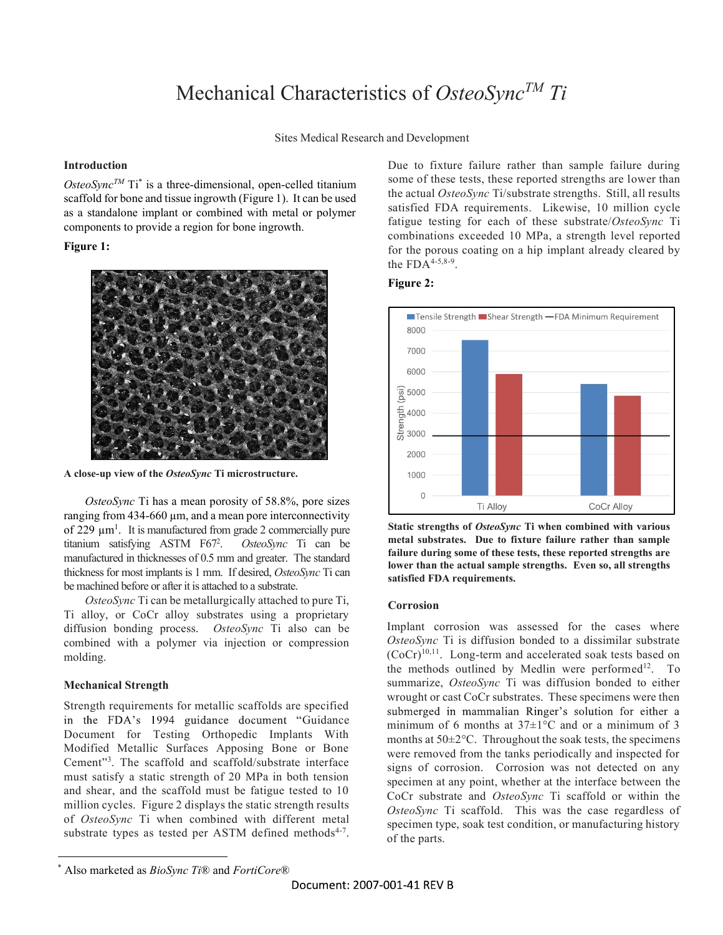## Mechanical Characteristics of OsteoSync<sup>TM</sup> Ti

Sites Medical Research and Development

#### Introduction

OsteoSync<sup>TM</sup> Ti<sup>\*</sup> is a three-dimensional, open-celled titanium<br>
detection of these tests, these reported strengths are low scaffold for bone and tissue ingrowth (Figure 1). It can be used as a standalone implant or combined with metal or polymer components to provide a region for bone ingrowth.

### Figure 1:



A close-up view of the OsteoSync Ti microstructure.

OsteoSync Ti has a mean porosity of 58.8%, pore sizes  $\overline{D}$   $\overline{D}$   $\overline{D}$   $\overline{D}$   $\overline{D}$   $\overline{D}$   $\overline{D}$   $\overline{D}$   $\overline{D}$   $\overline{D}$   $\overline{D}$   $\overline{D}$   $\overline{D}$   $\overline{D}$   $\overline{D}$   $\overline{D}$   $\overline{D}$   $\overline{D}$   $\overline{$ ranging from 434-660 µm, and a mean pore interconnectivity of 229  $\mu$ m<sup>1</sup>. It is manufactured from grade 2 commercially pure Static streng titanium satisfying ASTM F67<sup>2</sup>. OsteoSync Ti can be **metal substrates.** Due to fixture failure rather than sample . OsteoSync Ti can be manufactured in thicknesses of 0.5 mm and greater. The standard<br>Highers **for most implant in 1 mm** If desired Otto Sma Ti see **lower than the actual sample strengths.** Even so, all strengths thickness for most implants is 1 mm. If desired, OsteoSync Ti can be machined before or after it is attached to a substrate.

OsteoSync Ti can be metallurgically attached to pure Ti, Ti alloy, or CoCr alloy substrates using a proprietary diffusion bonding process. OsteoSync Ti also can be combined with a polymer via injection or compression molding.

### Mechanical Strength

in the FDA's 1994 guidance document "Guidance Document for Testing Orthopedic Implants With Modified Metallic Surfaces Apposing Bone or Bone Cement<sup>3</sup>. The scaffold and scaffold/substrate interface signs of  $\epsilon$ must satisfy a static strength of 20 MPa in both tension and shear, and the scaffold must be fatigue tested to 10 million cycles. Figure 2 displays the static strength results of OsteoSync Ti when combined with different metal substrate types as tested per ASTM defined methods<sup>4-7</sup>. of the parts.<br>  $*$  Also marketed as *Rio Sync Ti*<sup>(@</sup>) and *FortiCore*<sup>®</sup>

Due to fixture failure rather than sample failure during some of these tests, these reported strengths are lower than the actual OsteoSync Ti/substrate strengths. Still, all results satisfied FDA requirements. Likewise, 10 million cycle fatigue testing for each of these substrate/OsteoSync Ti combinations exceeded 10 MPa, a strength level reported for the porous coating on a hip implant already cleared by the  $FDA^{4-5,8-9}$ .

### Figure 2:



Static strengths of OsteoSync Ti when combined with various failure during some of these tests, these reported strengths are satisfied FDA requirements.

### Corrosion

Strength requirements for metallic scaffolds are specified<br>submerged in mammalian Ringer's solution for either a Implant corrosion was assessed for the cases where OsteoSync Ti is diffusion bonded to a dissimilar substrate (CoCr)10,11. Long-term and accelerated soak tests based on the methods outlined by Medlin were performed<sup>12</sup>. To summarize, OsteoSync Ti was diffusion bonded to either wrought or cast CoCr substrates. These specimens were then minimum of 6 months at  $37\pm1\degree$ C and or a minimum of 3 months at 50±2°C. Throughout the soak tests, the specimens were removed from the tanks periodically and inspected for signs of corrosion. Corrosion was not detected on any specimen at any point, whether at the interface between the CoCr substrate and OsteoSync Ti scaffold or within the OsteoSync Ti scaffold. This was the case regardless of specimen type, soak test condition, or manufacturing history of the parts.

Also marketed as *BioSync Ti®* and *FortiCore®*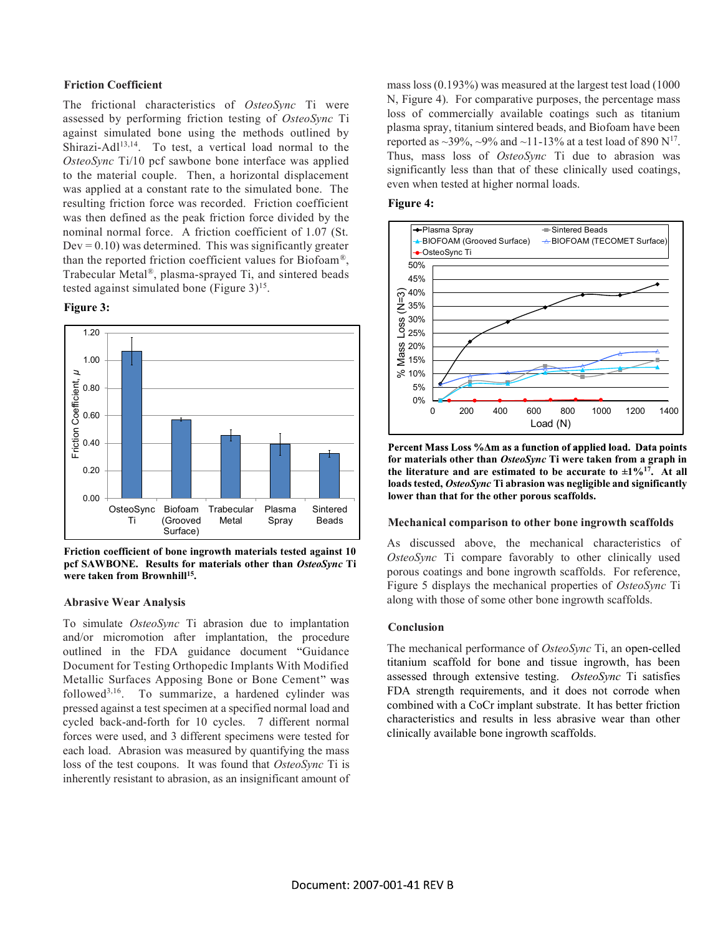#### Friction Coefficient

The frictional characteristics of OsteoSync Ti were assessed by performing friction testing of OsteoSync Ti against simulated bone using the methods outlined by Shirazi-Adl13,14. To test, a vertical load normal to the OsteoSync Ti/10 pcf sawbone bone interface was applied to the material couple. Then, a horizontal displacement<br>was explied at a constant rate to the simulated hore. The even when tested at higher normal loads. was applied at a constant rate to the simulated bone. The resulting friction force was recorded. Friction coefficient was then defined as the peak friction force divided by the nominal normal force. A friction coefficient of 1.07 (St.  $Dev = 0.10$ ) was determined. This was significantly greater than the reported friction coefficient values for Biofoam®,<br>Trabecular Metal®, plasma-sprayed Ti, and sintered beads  $45\%$ tested against simulated bone (Figure 3)<sup>15</sup>.

#### Figure 3:



Friction coefficient of bone ingrowth materials tested against 10 pcf SAWBONE. Results for materials other than OsteoSync Ti were taken from Brownhill<sup>15</sup>. .

#### Abrasive Wear Analysis

To simulate OsteoSync Ti abrasion due to implantation and/or micromotion after implantation, the procedure outlined in the FDA guidance document "Guidance Document for Testing Orthopedic Implants With Modified Metallic Surfaces Apposing Bone or Bone Cement followed3,16. To summarize, a hardened cylinder was pressed against a test specimen at a specified normal load and cycled back-and-forth for 10 cycles. 7 different normal forces were used, and 3 different specimens were tested for each load. Abrasion was measured by quantifying the mass loss of the test coupons. It was found that OsteoSync Ti is inherently resistant to abrasion, as an insignificant amount of mass loss (0.193%) was measured at the largest test load (1000 N, Figure 4). For comparative purposes, the percentage mass loss of commercially available coatings such as titanium plasma spray, titanium sintered beads, and Biofoam have been reported as  $\sim$ 39%,  $\sim$ 9% and  $\sim$ 11-13% at a test load of 890 N<sup>17</sup>. Thus, mass loss of OsteoSync Ti due to abrasion was significantly less than that of these clinically used coatings,

#### Figure 4:



for materials other than OsteoSync Ti were taken from a graph in the literature and are estimated to be accurate to  $\pm 1\%$ <sup>17</sup>. At all loads tested, OsteoSync Ti abrasion was negligible and significantly

As discussed above, the mechanical characteristics of OsteoSync Ti compare favorably to other clinically used porous coatings and bone ingrowth scaffolds. For reference, Figure 5 displays the mechanical properties of OsteoSync Ti along with those of some other bone ingrowth scaffolds.

#### Conclusion

The mechanical performance of *OsteoSync* Ti, an open-celled titanium scaffold for bone and tissue ingrowth, has been assessed through extensive testing. OsteoSync Ti satisfies FDA strength requirements, and it does not corrode when combined with a CoCr implant substrate. It has better friction characteristics and results in less abrasive wear than other clinically available bone ingrowth scaffolds.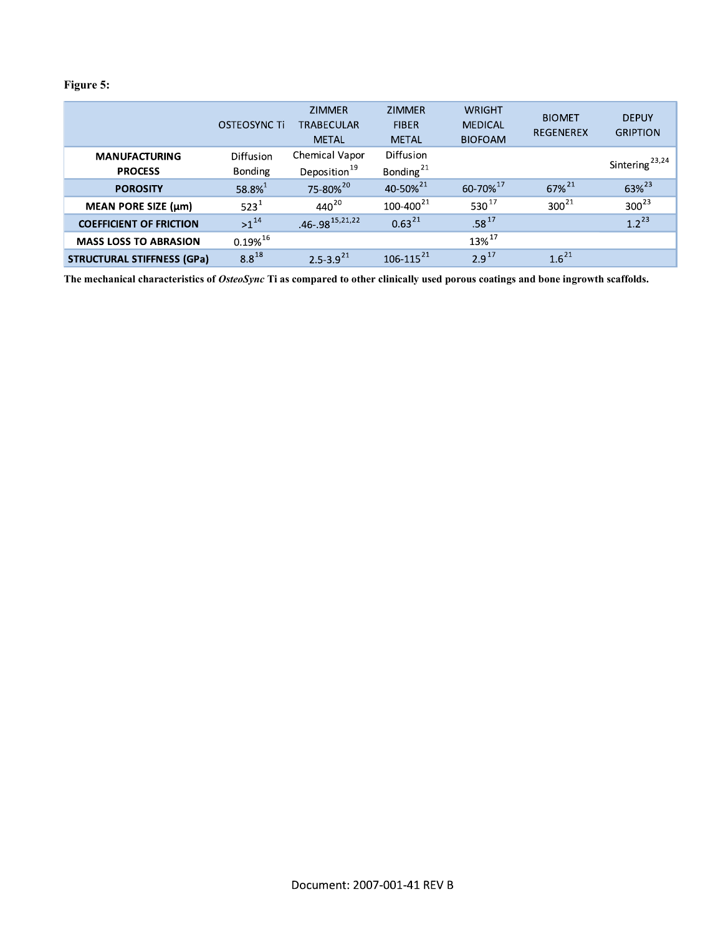### Figure 5:

|                                   | OSTEOSYNC Ti     | <b>ZIMMER</b><br><b>TRABECULAR</b> | <b>ZIMMER</b><br><b>FIBER</b> | <b>WRIGHT</b><br><b>MEDICAL</b> | <b>BIOMET</b><br><b>REGENEREX</b> | <b>DEPUY</b><br><b>GRIPTION</b> |
|-----------------------------------|------------------|------------------------------------|-------------------------------|---------------------------------|-----------------------------------|---------------------------------|
|                                   |                  | <b>METAL</b>                       | <b>METAL</b>                  | <b>BIOFOAM</b>                  |                                   |                                 |
| <b>MANUFACTURING</b>              | <b>Diffusion</b> | Chemical Vapor                     | <b>Diffusion</b>              |                                 |                                   |                                 |
| <b>PROCESS</b>                    | <b>Bonding</b>   | Deposition <sup>19</sup>           | Bonding $^{21}$               |                                 |                                   | Sintering <sup>23,24</sup>      |
| <b>POROSITY</b>                   | $58.8\%^{1}$     | 75-80% <sup>20</sup>               | 40-50% <sup>21</sup>          | 60-70%17                        | $67\%^{21}$                       | 63% <sup>23</sup>               |
| MEAN PORE SIZE (µm)               | $523^1$          | $440^{20}$                         | $100 - 400^{21}$              | 530 $17$                        | $300^{21}$                        | $300^{23}$                      |
| <b>COEFFICIENT OF FRICTION</b>    | $>1^{14}$        | $.46 - .98$ <sup>15,21,22</sup>    | $0.63^{21}$                   | $.58^{17}$                      |                                   | $1.2^{23}$                      |
| <b>MASS LOSS TO ABRASION</b>      | $0.19\%^{16}$    |                                    |                               | 13% 17                          |                                   |                                 |
| <b>STRUCTURAL STIFFNESS (GPa)</b> | $8.8^{18}$       | $2.5 - 3.9^{21}$                   | $106 - 115^{21}$              | $2.9^{17}$                      | $1.6^{21}$                        |                                 |

The mechanical characteristics of OsteoSync Ti as compared to other clinically used porous coatings and bone ingrowth scaffolds.